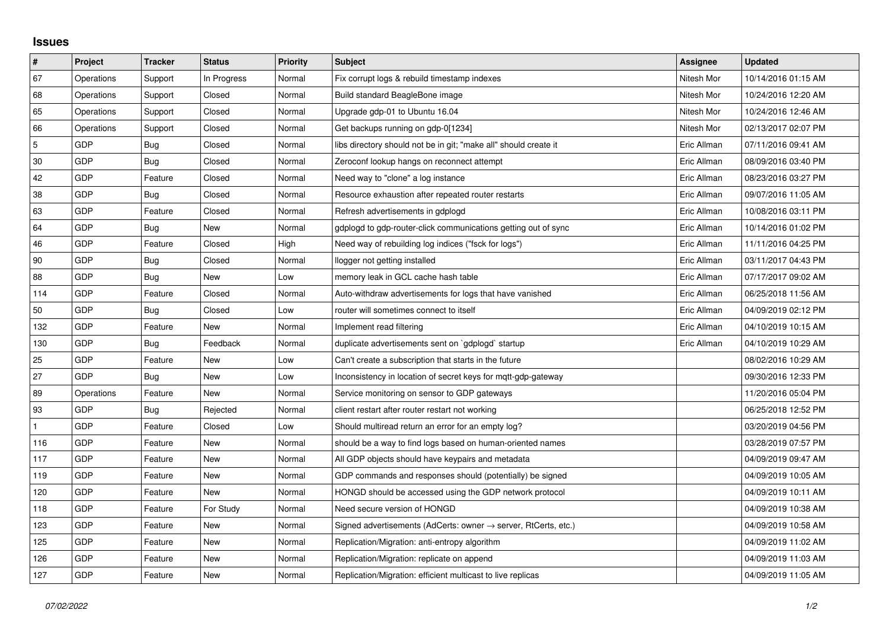## **Issues**

| $\vert$ #      | Project    | <b>Tracker</b> | <b>Status</b> | <b>Priority</b> | <b>Subject</b>                                                             | Assignee    | <b>Updated</b>      |
|----------------|------------|----------------|---------------|-----------------|----------------------------------------------------------------------------|-------------|---------------------|
| 67             | Operations | Support        | In Progress   | Normal          | Fix corrupt logs & rebuild timestamp indexes                               | Nitesh Mor  | 10/14/2016 01:15 AM |
| 68             | Operations | Support        | Closed        | Normal          | Build standard BeagleBone image                                            | Nitesh Mor  | 10/24/2016 12:20 AM |
| 65             | Operations | Support        | Closed        | Normal          | Upgrade gdp-01 to Ubuntu 16.04                                             | Nitesh Mor  | 10/24/2016 12:46 AM |
| 66             | Operations | Support        | Closed        | Normal          | Get backups running on gdp-0[1234]                                         | Nitesh Mor  | 02/13/2017 02:07 PM |
| $\overline{5}$ | <b>GDP</b> | Bug            | Closed        | Normal          | libs directory should not be in git; "make all" should create it           | Eric Allman | 07/11/2016 09:41 AM |
| 30             | GDP        | Bug            | Closed        | Normal          | Zeroconf lookup hangs on reconnect attempt                                 | Eric Allman | 08/09/2016 03:40 PM |
| 42             | <b>GDP</b> | Feature        | Closed        | Normal          | Need way to "clone" a log instance                                         | Eric Allman | 08/23/2016 03:27 PM |
| 38             | GDP        | Bug            | Closed        | Normal          | Resource exhaustion after repeated router restarts                         | Eric Allman | 09/07/2016 11:05 AM |
| 63             | <b>GDP</b> | Feature        | Closed        | Normal          | Refresh advertisements in gdplogd                                          | Eric Allman | 10/08/2016 03:11 PM |
| 64             | <b>GDP</b> | Bug            | New           | Normal          | gdplogd to gdp-router-click communications getting out of sync             | Eric Allman | 10/14/2016 01:02 PM |
| 46             | <b>GDP</b> | Feature        | Closed        | High            | Need way of rebuilding log indices ("fsck for logs")                       | Eric Allman | 11/11/2016 04:25 PM |
| 90             | <b>GDP</b> | <b>Bug</b>     | Closed        | Normal          | llogger not getting installed                                              | Eric Allman | 03/11/2017 04:43 PM |
| 88             | <b>GDP</b> | Bug            | New           | Low             | memory leak in GCL cache hash table                                        | Eric Allman | 07/17/2017 09:02 AM |
| 114            | GDP        | Feature        | Closed        | Normal          | Auto-withdraw advertisements for logs that have vanished                   | Eric Allman | 06/25/2018 11:56 AM |
| 50             | <b>GDP</b> | Bug            | Closed        | Low             | router will sometimes connect to itself                                    | Eric Allman | 04/09/2019 02:12 PM |
| 132            | <b>GDP</b> | Feature        | <b>New</b>    | Normal          | Implement read filtering                                                   | Eric Allman | 04/10/2019 10:15 AM |
| 130            | GDP        | Bug            | Feedback      | Normal          | duplicate advertisements sent on `gdplogd` startup                         | Eric Allman | 04/10/2019 10:29 AM |
| 25             | <b>GDP</b> | Feature        | New           | Low             | Can't create a subscription that starts in the future                      |             | 08/02/2016 10:29 AM |
| 27             | <b>GDP</b> | Bug            | New           | Low             | Inconsistency in location of secret keys for mqtt-gdp-gateway              |             | 09/30/2016 12:33 PM |
| 89             | Operations | Feature        | New           | Normal          | Service monitoring on sensor to GDP gateways                               |             | 11/20/2016 05:04 PM |
| 93             | GDP        | Bug            | Rejected      | Normal          | client restart after router restart not working                            |             | 06/25/2018 12:52 PM |
| $\mathbf{1}$   | <b>GDP</b> | Feature        | Closed        | Low             | Should multiread return an error for an empty log?                         |             | 03/20/2019 04:56 PM |
| 116            | <b>GDP</b> | Feature        | New           | Normal          | should be a way to find logs based on human-oriented names                 |             | 03/28/2019 07:57 PM |
| 117            | <b>GDP</b> | Feature        | New           | Normal          | All GDP objects should have keypairs and metadata                          |             | 04/09/2019 09:47 AM |
| 119            | <b>GDP</b> | Feature        | <b>New</b>    | Normal          | GDP commands and responses should (potentially) be signed                  |             | 04/09/2019 10:05 AM |
| 120            | GDP        | Feature        | New           | Normal          | HONGD should be accessed using the GDP network protocol                    |             | 04/09/2019 10:11 AM |
| 118            | <b>GDP</b> | Feature        | For Study     | Normal          | Need secure version of HONGD                                               |             | 04/09/2019 10:38 AM |
| 123            | GDP        | Feature        | New           | Normal          | Signed advertisements (AdCerts: owner $\rightarrow$ server, RtCerts, etc.) |             | 04/09/2019 10:58 AM |
| 125            | <b>GDP</b> | Feature        | New           | Normal          | Replication/Migration: anti-entropy algorithm                              |             | 04/09/2019 11:02 AM |
| 126            | GDP        | Feature        | New           | Normal          | Replication/Migration: replicate on append                                 |             | 04/09/2019 11:03 AM |
| 127            | GDP        | Feature        | <b>New</b>    | Normal          | Replication/Migration: efficient multicast to live replicas                |             | 04/09/2019 11:05 AM |